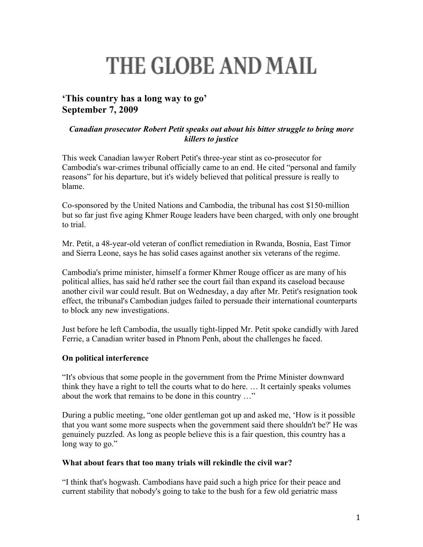# THE GLOBE AND MAIL

## **'This country has a long way to go' September 7, 2009**

#### *Canadian prosecutor Robert Petit speaks out about his bitter struggle to bring more killers to justice*

This week Canadian lawyer Robert Petit's three-year stint as co-prosecutor for Cambodia's war-crimes tribunal officially came to an end. He cited "personal and family reasons" for his departure, but it's widely believed that political pressure is really to blame.

Co-sponsored by the United Nations and Cambodia, the tribunal has cost \$150-million but so far just five aging Khmer Rouge leaders have been charged, with only one brought to trial.

Mr. Petit, a 48-year-old veteran of conflict remediation in Rwanda, Bosnia, East Timor and Sierra Leone, says he has solid cases against another six veterans of the regime.

Cambodia's prime minister, himself a former Khmer Rouge officer as are many of his political allies, has said he'd rather see the court fail than expand its caseload because another civil war could result. But on Wednesday, a day after Mr. Petit's resignation took effect, the tribunal's Cambodian judges failed to persuade their international counterparts to block any new investigations.

Just before he left Cambodia, the usually tight-lipped Mr. Petit spoke candidly with Jared Ferrie, a Canadian writer based in Phnom Penh, about the challenges he faced.

#### **On political interference**

"It's obvious that some people in the government from the Prime Minister downward think they have a right to tell the courts what to do here. … It certainly speaks volumes about the work that remains to be done in this country …"

During a public meeting, "one older gentleman got up and asked me, 'How is it possible that you want some more suspects when the government said there shouldn't be?' He was genuinely puzzled. As long as people believe this is a fair question, this country has a long way to go."

#### **What about fears that too many trials will rekindle the civil war?**

"I think that's hogwash. Cambodians have paid such a high price for their peace and current stability that nobody's going to take to the bush for a few old geriatric mass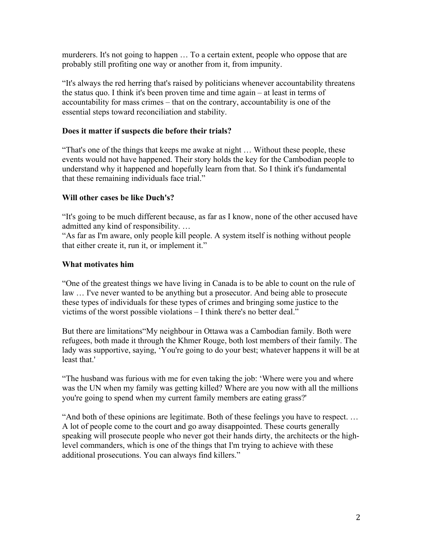murderers. It's not going to happen … To a certain extent, people who oppose that are probably still profiting one way or another from it, from impunity.

"It's always the red herring that's raised by politicians whenever accountability threatens the status quo. I think it's been proven time and time again – at least in terms of accountability for mass crimes – that on the contrary, accountability is one of the essential steps toward reconciliation and stability.

#### **Does it matter if suspects die before their trials?**

"That's one of the things that keeps me awake at night … Without these people, these events would not have happened. Their story holds the key for the Cambodian people to understand why it happened and hopefully learn from that. So I think it's fundamental that these remaining individuals face trial."

#### **Will other cases be like Duch's?**

"It's going to be much different because, as far as I know, none of the other accused have admitted any kind of responsibility. …

"As far as I'm aware, only people kill people. A system itself is nothing without people that either create it, run it, or implement it."

#### **What motivates him**

"One of the greatest things we have living in Canada is to be able to count on the rule of law … I've never wanted to be anything but a prosecutor. And being able to prosecute these types of individuals for these types of crimes and bringing some justice to the victims of the worst possible violations – I think there's no better deal."

But there are limitations"My neighbour in Ottawa was a Cambodian family. Both were refugees, both made it through the Khmer Rouge, both lost members of their family. The lady was supportive, saying, 'You're going to do your best; whatever happens it will be at least that.'

"The husband was furious with me for even taking the job: 'Where were you and where was the UN when my family was getting killed? Where are you now with all the millions you're going to spend when my current family members are eating grass?'

"And both of these opinions are legitimate. Both of these feelings you have to respect. … A lot of people come to the court and go away disappointed. These courts generally speaking will prosecute people who never got their hands dirty, the architects or the highlevel commanders, which is one of the things that I'm trying to achieve with these additional prosecutions. You can always find killers."